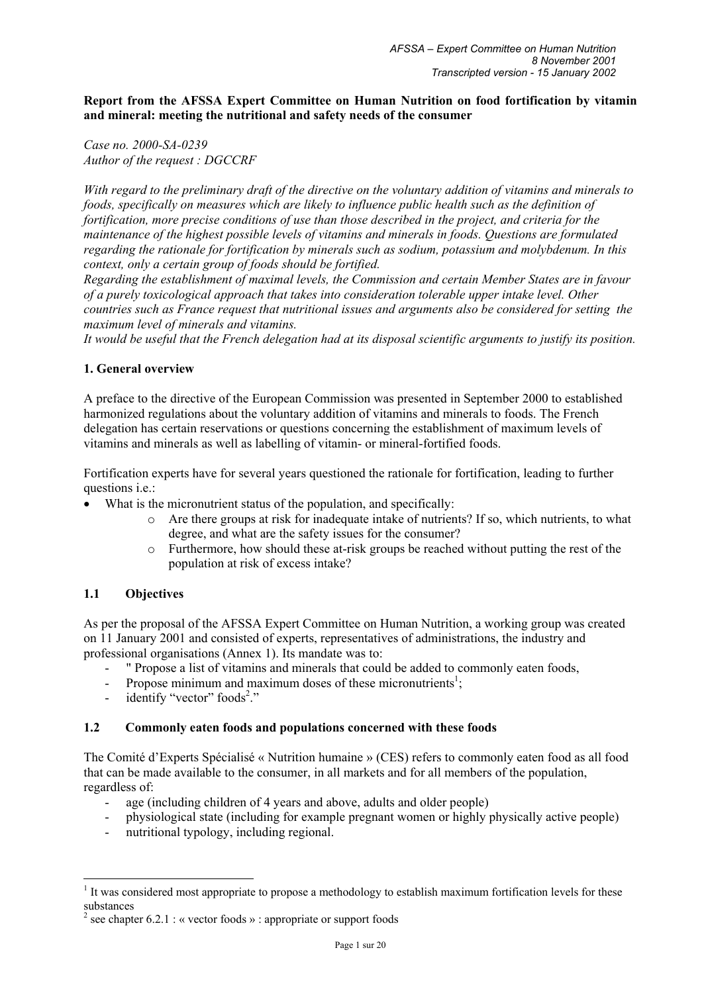**Report from the AFSSA Expert Committee on Human Nutrition on food fortification by vitamin and mineral: meeting the nutritional and safety needs of the consumer** 

*Case no. 2000-SA-0239 Author of the request : DGCCRF* 

*With regard to the preliminary draft of the directive on the voluntary addition of vitamins and minerals to foods, specifically on measures which are likely to influence public health such as the definition of fortification, more precise conditions of use than those described in the project, and criteria for the maintenance of the highest possible levels of vitamins and minerals in foods. Questions are formulated regarding the rationale for fortification by minerals such as sodium, potassium and molybdenum. In this context, only a certain group of foods should be fortified.* 

*Regarding the establishment of maximal levels, the Commission and certain Member States are in favour of a purely toxicological approach that takes into consideration tolerable upper intake level. Other countries such as France request that nutritional issues and arguments also be considered for setting the maximum level of minerals and vitamins.* 

*It would be useful that the French delegation had at its disposal scientific arguments to justify its position.* 

#### **1. General overview**

A preface to the directive of the European Commission was presented in September 2000 to established harmonized regulations about the voluntary addition of vitamins and minerals to foods. The French delegation has certain reservations or questions concerning the establishment of maximum levels of vitamins and minerals as well as labelling of vitamin- or mineral-fortified foods.

Fortification experts have for several years questioned the rationale for fortification, leading to further questions i.e.:

- What is the micronutrient status of the population, and specifically:
	- o Are there groups at risk for inadequate intake of nutrients? If so, which nutrients, to what degree, and what are the safety issues for the consumer?
	- o Furthermore, how should these at-risk groups be reached without putting the rest of the population at risk of excess intake?

## **1.1 Objectives**

 $\overline{a}$ 

As per the proposal of the AFSSA Expert Committee on Human Nutrition, a working group was created on 11 January 2001 and consisted of experts, representatives of administrations, the industry and professional organisations (Annex 1). Its mandate was to:

- " Propose a list of vitamins and minerals that could be added to commonly eaten foods,
- Propose minimum and maximum doses of these micronutrients<sup>1</sup>;
- identify "vector" foods<sup>2</sup>."

#### **1.2 Commonly eaten foods and populations concerned with these foods**

The Comité d'Experts Spécialisé « Nutrition humaine » (CES) refers to commonly eaten food as all food that can be made available to the consumer, in all markets and for all members of the population, regardless of:

- age (including children of 4 years and above, adults and older people)
- physiological state (including for example pregnant women or highly physically active people)
- nutritional typology, including regional.

 $<sup>1</sup>$  It was considered most appropriate to propose a methodology to establish maximum fortification levels for these</sup> substances

<sup>&</sup>lt;sup>2</sup> see chapter 6.2.1 : « vector foods » : appropriate or support foods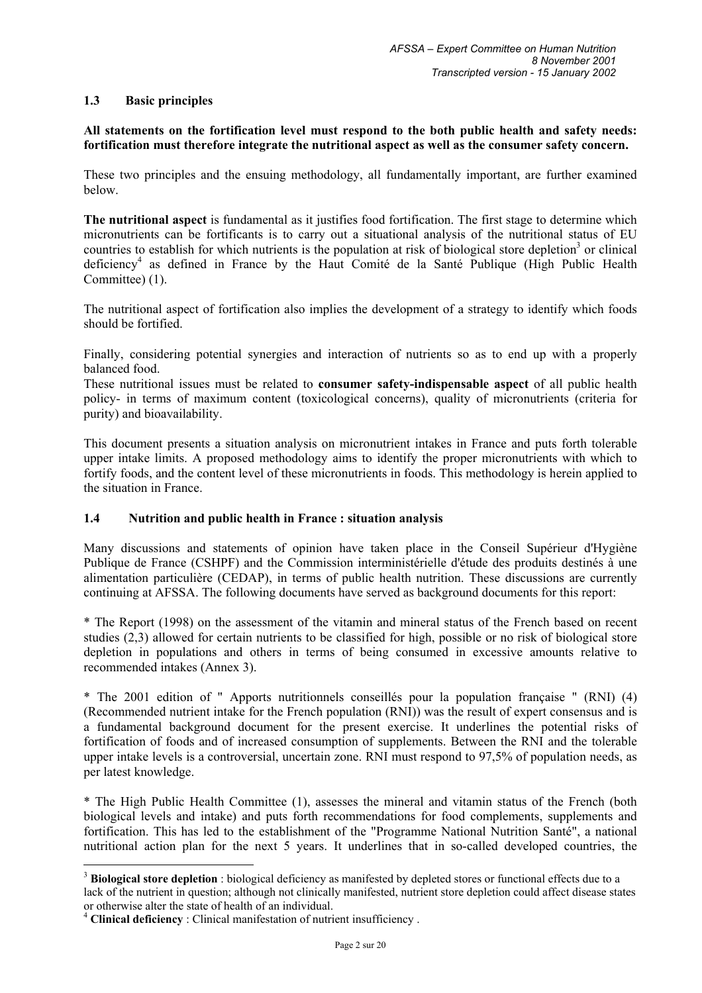## **1.3 Basic principles**

## **All statements on the fortification level must respond to the both public health and safety needs: fortification must therefore integrate the nutritional aspect as well as the consumer safety concern.**

These two principles and the ensuing methodology, all fundamentally important, are further examined below.

**The nutritional aspect** is fundamental as it justifies food fortification. The first stage to determine which micronutrients can be fortificants is to carry out a situational analysis of the nutritional status of EU countries to establish for which nutrients is the population at risk of biological store depletion<sup>3</sup> or clinical deficiency<sup>4</sup> as defined in France by the Haut Comité de la Santé Publique (High Public Health Committee) (1).

The nutritional aspect of fortification also implies the development of a strategy to identify which foods should be fortified.

Finally, considering potential synergies and interaction of nutrients so as to end up with a properly balanced food.

These nutritional issues must be related to **consumer safety-indispensable aspect** of all public health policy- in terms of maximum content (toxicological concerns), quality of micronutrients (criteria for purity) and bioavailability.

This document presents a situation analysis on micronutrient intakes in France and puts forth tolerable upper intake limits. A proposed methodology aims to identify the proper micronutrients with which to fortify foods, and the content level of these micronutrients in foods. This methodology is herein applied to the situation in France.

## **1.4 Nutrition and public health in France : situation analysis**

Many discussions and statements of opinion have taken place in the Conseil Supérieur d'Hygiène Publique de France (CSHPF) and the Commission interministérielle d'étude des produits destinés à une alimentation particulière (CEDAP), in terms of public health nutrition. These discussions are currently continuing at AFSSA. The following documents have served as background documents for this report:

\* The Report (1998) on the assessment of the vitamin and mineral status of the French based on recent studies (2,3) allowed for certain nutrients to be classified for high, possible or no risk of biological store depletion in populations and others in terms of being consumed in excessive amounts relative to recommended intakes (Annex 3).

\* The 2001 edition of " Apports nutritionnels conseillés pour la population française " (RNI) (4) (Recommended nutrient intake for the French population (RNI)) was the result of expert consensus and is a fundamental background document for the present exercise. It underlines the potential risks of fortification of foods and of increased consumption of supplements. Between the RNI and the tolerable upper intake levels is a controversial, uncertain zone. RNI must respond to 97,5% of population needs, as per latest knowledge.

\* The High Public Health Committee (1), assesses the mineral and vitamin status of the French (both biological levels and intake) and puts forth recommendations for food complements, supplements and fortification. This has led to the establishment of the "Programme National Nutrition Santé", a national nutritional action plan for the next 5 years. It underlines that in so-called developed countries, the

 $\overline{a}$ 

<sup>&</sup>lt;sup>3</sup> Biological store depletion : biological deficiency as manifested by depleted stores or functional effects due to a lack of the nutrient in question; although not clinically manifested, nutrient store depletion could affect disease states or otherwise alter the state of health of an individual.

<sup>&</sup>lt;sup>4</sup> Clinical deficiency : Clinical manifestation of nutrient insufficiency .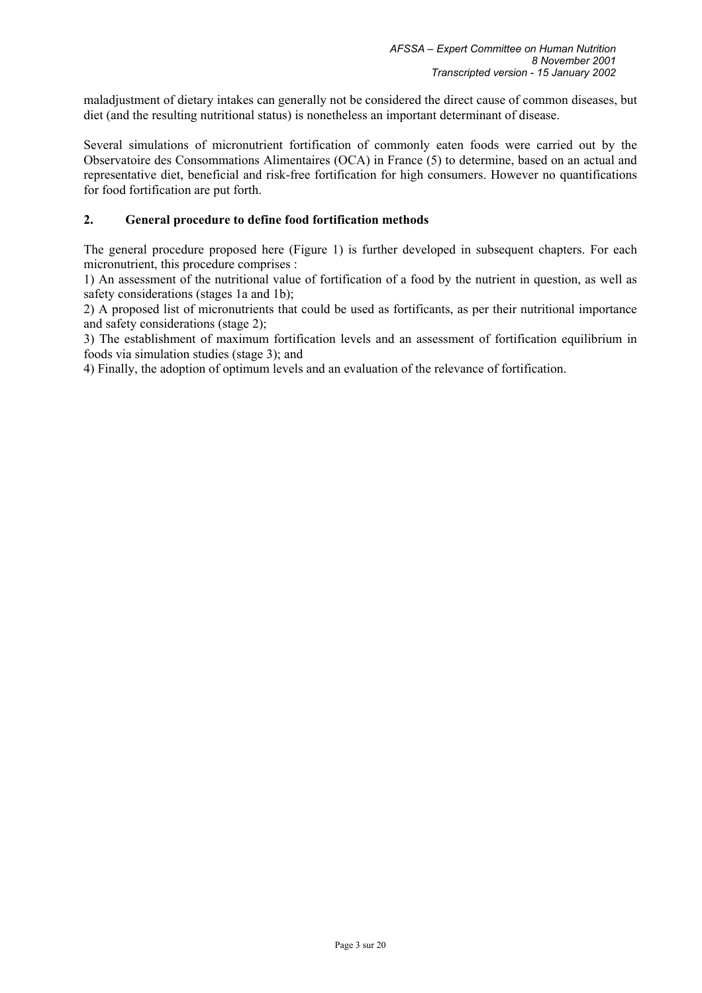maladjustment of dietary intakes can generally not be considered the direct cause of common diseases, but diet (and the resulting nutritional status) is nonetheless an important determinant of disease.

Several simulations of micronutrient fortification of commonly eaten foods were carried out by the Observatoire des Consommations Alimentaires (OCA) in France (5) to determine, based on an actual and representative diet, beneficial and risk-free fortification for high consumers. However no quantifications for food fortification are put forth.

## **2. General procedure to define food fortification methods**

The general procedure proposed here (Figure 1) is further developed in subsequent chapters. For each micronutrient, this procedure comprises :

1) An assessment of the nutritional value of fortification of a food by the nutrient in question, as well as safety considerations (stages 1a and 1b);

2) A proposed list of micronutrients that could be used as fortificants, as per their nutritional importance and safety considerations (stage 2);

3) The establishment of maximum fortification levels and an assessment of fortification equilibrium in foods via simulation studies (stage 3); and

4) Finally, the adoption of optimum levels and an evaluation of the relevance of fortification.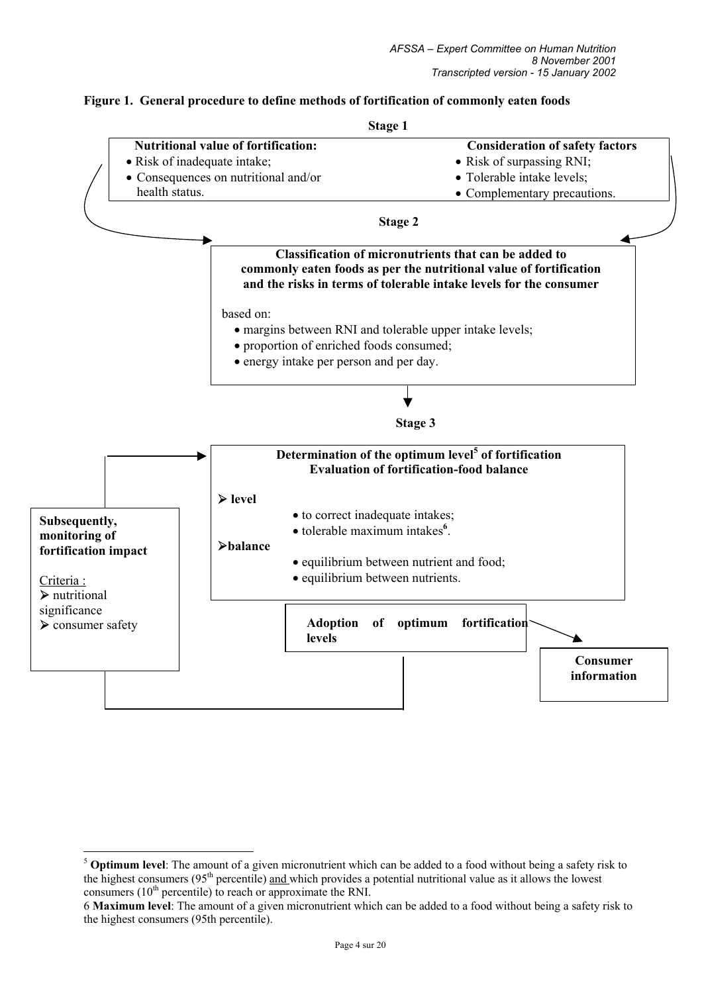# **Figure 1. General procedure to define methods of fortification of commonly eaten foods**



 $\overline{a}$ 

<sup>5</sup> **Optimum level**: The amount of a given micronutrient which can be added to a food without being a safety risk to the highest consumers (95<sup>th</sup> percentile) and which provides a potential nutritional value as it allows the lowest consumers  $(10<sup>th</sup>$  percentile) to reach or approximate the RNI.

<sup>6</sup> **Maximum level**: The amount of a given micronutrient which can be added to a food without being a safety risk to the highest consumers (95th percentile).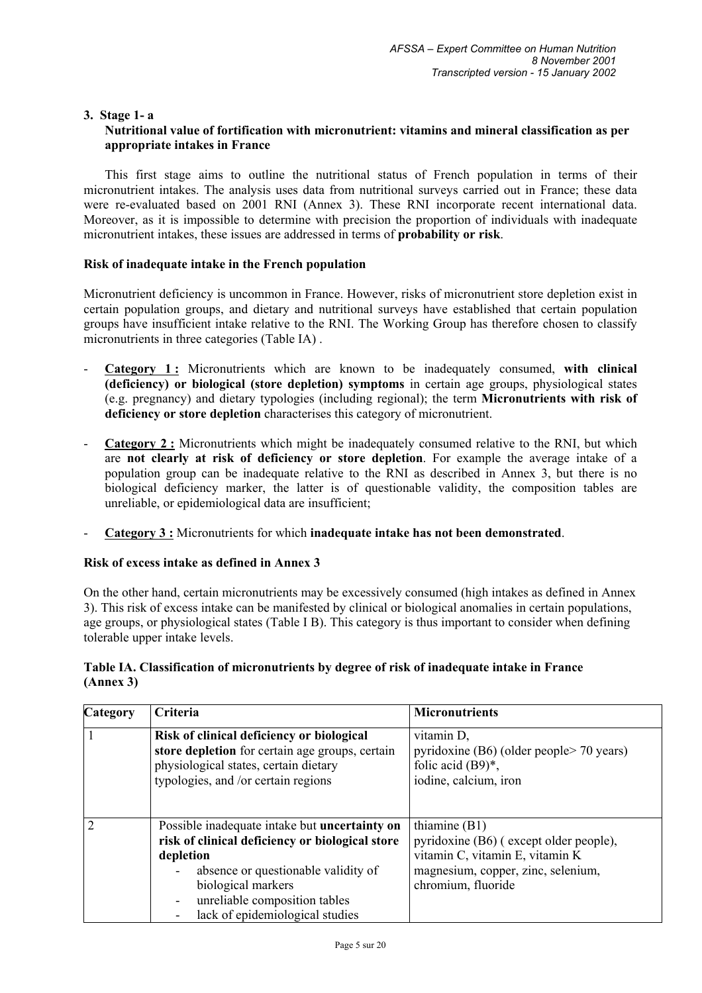#### **3. Stage 1- a Nutritional value of fortification with micronutrient: vitamins and mineral classification as per appropriate intakes in France**

This first stage aims to outline the nutritional status of French population in terms of their micronutrient intakes. The analysis uses data from nutritional surveys carried out in France; these data were re-evaluated based on 2001 RNI (Annex 3). These RNI incorporate recent international data. Moreover, as it is impossible to determine with precision the proportion of individuals with inadequate micronutrient intakes, these issues are addressed in terms of **probability or risk**.

## **Risk of inadequate intake in the French population**

Micronutrient deficiency is uncommon in France. However, risks of micronutrient store depletion exist in certain population groups, and dietary and nutritional surveys have established that certain population groups have insufficient intake relative to the RNI. The Working Group has therefore chosen to classify micronutrients in three categories (Table IA) .

- **Category 1 :** Micronutrients which are known to be inadequately consumed, **with clinical (deficiency) or biological (store depletion) symptoms** in certain age groups, physiological states (e.g. pregnancy) and dietary typologies (including regional); the term **Micronutrients with risk of deficiency or store depletion** characterises this category of micronutrient.
- **Category 2 :** Micronutrients which might be inadequately consumed relative to the RNI, but which are **not clearly at risk of deficiency or store depletion**. For example the average intake of a population group can be inadequate relative to the RNI as described in Annex 3, but there is no biological deficiency marker, the latter is of questionable validity, the composition tables are unreliable, or epidemiological data are insufficient;
- **Category 3 :** Micronutrients for which **inadequate intake has not been demonstrated**.

## **Risk of excess intake as defined in Annex 3**

On the other hand, certain micronutrients may be excessively consumed (high intakes as defined in Annex 3). This risk of excess intake can be manifested by clinical or biological anomalies in certain populations, age groups, or physiological states (Table I B). This category is thus important to consider when defining tolerable upper intake levels.

## **Table IA. Classification of micronutrients by degree of risk of inadequate intake in France (Annex 3)**

| <b>Category</b> | Criteria                                                                                                                                                                     | <b>Micronutrients</b>                                                                                         |
|-----------------|------------------------------------------------------------------------------------------------------------------------------------------------------------------------------|---------------------------------------------------------------------------------------------------------------|
|                 | Risk of clinical deficiency or biological<br>store depletion for certain age groups, certain<br>physiological states, certain dietary<br>typologies, and /or certain regions | vitamin D,<br>pyridoxine $(B6)$ (older people $> 70$ years)<br>folic acid $(B9)^*$ ,<br>iodine, calcium, iron |
|                 | Possible inadequate intake but uncertainty on                                                                                                                                | thiamine $(B1)$                                                                                               |
|                 | risk of clinical deficiency or biological store                                                                                                                              | pyridoxine (B6) (except older people),                                                                        |
|                 | depletion                                                                                                                                                                    | vitamin C, vitamin E, vitamin K                                                                               |
|                 | absence or questionable validity of                                                                                                                                          | magnesium, copper, zinc, selenium,                                                                            |
|                 | biological markers                                                                                                                                                           | chromium, fluoride                                                                                            |
|                 | unreliable composition tables<br>$\blacksquare$                                                                                                                              |                                                                                                               |
|                 | lack of epidemiological studies                                                                                                                                              |                                                                                                               |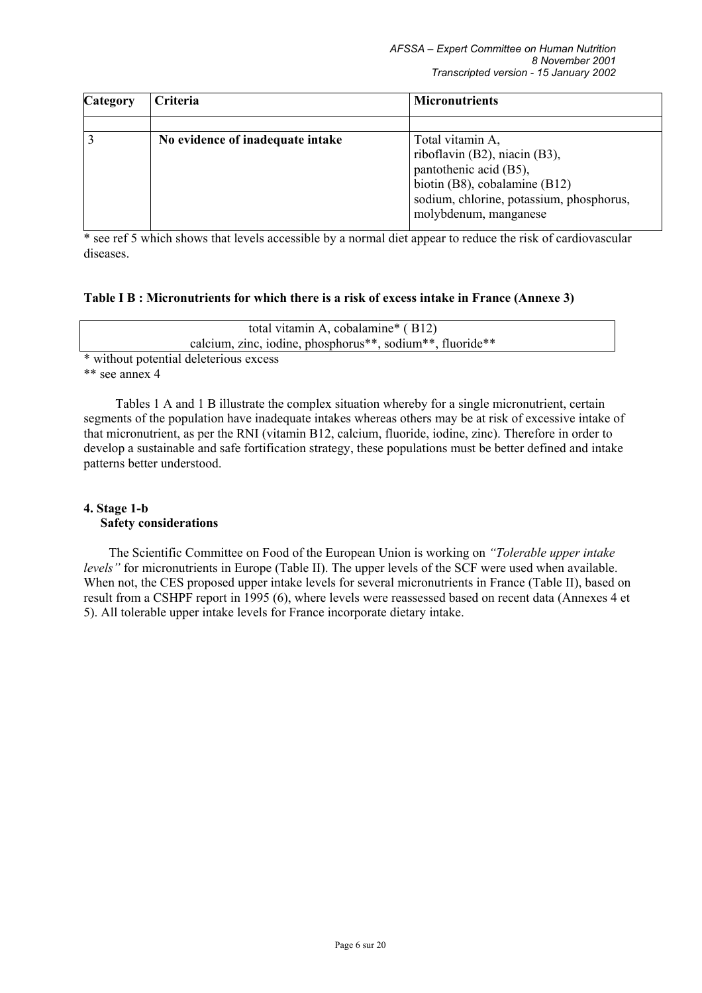| <b>Category</b> | Criteria                         | <b>Micronutrients</b>                                                                                                                                                             |
|-----------------|----------------------------------|-----------------------------------------------------------------------------------------------------------------------------------------------------------------------------------|
|                 |                                  |                                                                                                                                                                                   |
|                 | No evidence of inadequate intake | Total vitamin A,<br>riboflavin (B2), niacin (B3),<br>pantothenic acid (B5),<br>biotin (B8), cobalamine (B12)<br>sodium, chlorine, potassium, phosphorus,<br>molybdenum, manganese |

\* see ref 5 which shows that levels accessible by a normal diet appear to reduce the risk of cardiovascular diseases.

## **Table I B : Micronutrients for which there is a risk of excess intake in France (Annexe 3)**

| total vitamin A, cobalamine* (B12)                                                              |  |
|-------------------------------------------------------------------------------------------------|--|
| calcium, zinc, iodine, phosphorus <sup>**</sup> , sodium <sup>**</sup> , fluoride <sup>**</sup> |  |
| * without potential deleterious excess                                                          |  |

\*\* see annex 4

Tables 1 A and 1 B illustrate the complex situation whereby for a single micronutrient, certain segments of the population have inadequate intakes whereas others may be at risk of excessive intake of that micronutrient, as per the RNI (vitamin B12, calcium, fluoride, iodine, zinc). Therefore in order to develop a sustainable and safe fortification strategy, these populations must be better defined and intake patterns better understood.

## **4. Stage 1-b Safety considerations**

The Scientific Committee on Food of the European Union is working on *"Tolerable upper intake levels"* for micronutrients in Europe (Table II). The upper levels of the SCF were used when available. When not, the CES proposed upper intake levels for several micronutrients in France (Table II), based on result from a CSHPF report in 1995 (6), where levels were reassessed based on recent data (Annexes 4 et 5). All tolerable upper intake levels for France incorporate dietary intake.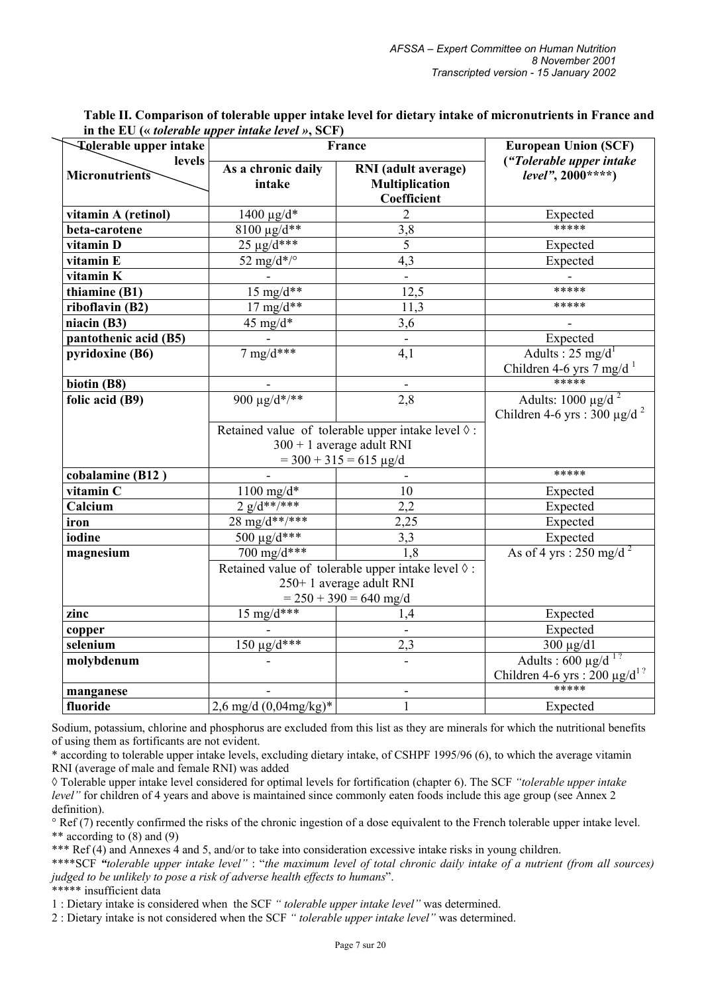| <b>Tolerable upper intake</b> | France                                                                                                                                   | <b>European Union (SCF)</b>                                                                                            |                                                                           |  |
|-------------------------------|------------------------------------------------------------------------------------------------------------------------------------------|------------------------------------------------------------------------------------------------------------------------|---------------------------------------------------------------------------|--|
| levels<br>Micronutrients      | As a chronic daily<br>intake                                                                                                             | RNI (adult average)<br><b>Multiplication</b><br>Coefficient                                                            | ("Tolerable upper intake<br>$level", 2000***$                             |  |
| vitamin A (retinol)           | $1400 \mu g/d^*$                                                                                                                         | $\overline{2}$                                                                                                         | Expected                                                                  |  |
| beta-carotene                 | $8100 \text{ µg/d}^{**}$                                                                                                                 | 3,8                                                                                                                    | *****                                                                     |  |
| vitamin D                     | $25 \mu g/d***$                                                                                                                          | $\overline{5}$                                                                                                         | Expected                                                                  |  |
| vitamin E                     | 52 mg/d*/ $\degree$                                                                                                                      | 4,3                                                                                                                    | Expected                                                                  |  |
| vitamin K                     |                                                                                                                                          |                                                                                                                        |                                                                           |  |
| thiamine (B1)                 | 15 mg/ $\overline{d^{**}}$                                                                                                               | 12,5                                                                                                                   | *****                                                                     |  |
| riboflavin (B2)               | $17 \text{ mg/d}$ **                                                                                                                     | 11,3                                                                                                                   | *****                                                                     |  |
| niacin (B3)                   | 45 mg/d*                                                                                                                                 | 3,6                                                                                                                    |                                                                           |  |
| pantothenic acid (B5)         |                                                                                                                                          |                                                                                                                        | Expected                                                                  |  |
| pyridoxine (B6)               | 7 mg/d***                                                                                                                                | 4,1                                                                                                                    | Adults : $25 \text{ mg/d}^1$<br>Children 4-6 yrs 7 mg/d <sup>-1</sup>     |  |
| biotin (B8)                   |                                                                                                                                          |                                                                                                                        | *****                                                                     |  |
| folic acid (B9)               | 900 $\mu$ g/d*/**<br>2,8                                                                                                                 |                                                                                                                        | Adults: $1000 \mu g/d^2$<br>Children 4-6 yrs : 300 $\mu$ g/d <sup>2</sup> |  |
|                               |                                                                                                                                          | Retained value of tolerable upper intake level $\Diamond$ :<br>$300 + 1$ average adult RNI<br>$=$ 300 + 315 = 615 µg/d |                                                                           |  |
| cobalamine (B12)              |                                                                                                                                          |                                                                                                                        | *****                                                                     |  |
| vitamin C                     | $1100$ mg/d*                                                                                                                             | 10                                                                                                                     | Expected                                                                  |  |
| Calcium                       | $2 \frac{g}{d^{**}}$                                                                                                                     | $\overline{2,2}$                                                                                                       | Expected                                                                  |  |
| iron                          | 28 mg/d**/***                                                                                                                            | 2,25                                                                                                                   | Expected                                                                  |  |
| iodine                        | $500 \mu g/d***$                                                                                                                         | 3,3                                                                                                                    | Expected                                                                  |  |
| magnesium                     | 700 mg/d***<br>1,8<br>Retained value of tolerable upper intake level $\Diamond$ :<br>250+1 average adult RNI<br>$= 250 + 390 = 640$ mg/d |                                                                                                                        | As of 4 yrs : 250 mg/d <sup>2</sup>                                       |  |
| zinc                          | 15 mg/ $\frac{d^{***}}{dx^{***}}$                                                                                                        | 1,4                                                                                                                    | Expected                                                                  |  |
| copper                        |                                                                                                                                          |                                                                                                                        | Expected                                                                  |  |
| selenium                      | $150 \,\mu g/d***$                                                                                                                       | 2,3                                                                                                                    | 300 µg/d1                                                                 |  |
| molybdenum                    |                                                                                                                                          |                                                                                                                        | Adults : $600 \mu g/d^{1?}$<br>Children 4-6 yrs: $200 \mu g/d^{12}$       |  |
| manganese                     |                                                                                                                                          |                                                                                                                        | *****                                                                     |  |
| fluoride                      | $2,6$ mg/d $(0,04$ mg/kg)*                                                                                                               | $\mathbf{1}$                                                                                                           | Expected                                                                  |  |

**Table II. Comparison of tolerable upper intake level for dietary intake of micronutrients in France and in the EU («** *tolerable upper intake level »***, SCF)** 

Sodium, potassium, chlorine and phosphorus are excluded from this list as they are minerals for which the nutritional benefits of using them as fortificants are not evident.

\* according to tolerable upper intake levels, excluding dietary intake, of CSHPF 1995/96 (6), to which the average vitamin RNI (average of male and female RNI) was added

◊ Tolerable upper intake level considered for optimal levels for fortification (chapter 6). The SCF *"tolerable upper intake level*" for children of 4 years and above is maintained since commonly eaten foods include this age group (see Annex 2) definition).

° Ref (7) recently confirmed the risks of the chronic ingestion of a dose equivalent to the French tolerable upper intake level. \*\* according to (8) and (9)

\*\*\* Ref (4) and Annexes 4 and 5, and/or to take into consideration excessive intake risks in young children.

\*\*\*\*SCF *"tolerable upper intake level"* : "*the maximum level of total chronic daily intake of a nutrient (from all sources) judged to be unlikely to pose a risk of adverse health effects to humans*".

\*\*\*\*\* insufficient data

1 : Dietary intake is considered when the SCF *" tolerable upper intake level"* was determined.

2 : Dietary intake is not considered when the SCF *" tolerable upper intake level"* was determined.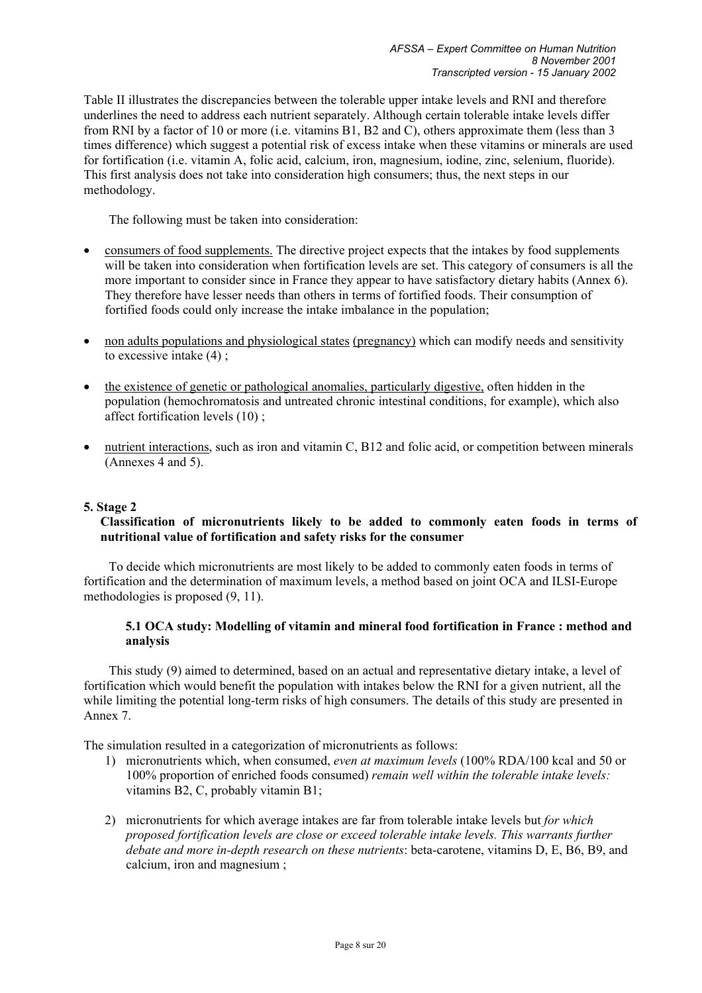Table II illustrates the discrepancies between the tolerable upper intake levels and RNI and therefore underlines the need to address each nutrient separately. Although certain tolerable intake levels differ from RNI by a factor of 10 or more (i.e. vitamins B1, B2 and C), others approximate them (less than 3 times difference) which suggest a potential risk of excess intake when these vitamins or minerals are used for fortification (i.e. vitamin A, folic acid, calcium, iron, magnesium, iodine, zinc, selenium, fluoride). This first analysis does not take into consideration high consumers; thus, the next steps in our methodology.

The following must be taken into consideration:

- consumers of food supplements. The directive project expects that the intakes by food supplements will be taken into consideration when fortification levels are set. This category of consumers is all the more important to consider since in France they appear to have satisfactory dietary habits (Annex 6). They therefore have lesser needs than others in terms of fortified foods. Their consumption of fortified foods could only increase the intake imbalance in the population;
- non adults populations and physiological states (pregnancy) which can modify needs and sensitivity to excessive intake (4) ;
- the existence of genetic or pathological anomalies, particularly digestive, often hidden in the population (hemochromatosis and untreated chronic intestinal conditions, for example), which also affect fortification levels (10) ;
- nutrient interactions, such as iron and vitamin C, B12 and folic acid, or competition between minerals (Annexes 4 and 5).

## **5. Stage 2**

## **Classification of micronutrients likely to be added to commonly eaten foods in terms of nutritional value of fortification and safety risks for the consumer**

To decide which micronutrients are most likely to be added to commonly eaten foods in terms of fortification and the determination of maximum levels, a method based on joint OCA and ILSI-Europe methodologies is proposed (9, 11).

## **5.1 OCA study: Modelling of vitamin and mineral food fortification in France : method and analysis**

This study (9) aimed to determined, based on an actual and representative dietary intake, a level of fortification which would benefit the population with intakes below the RNI for a given nutrient, all the while limiting the potential long-term risks of high consumers. The details of this study are presented in Annex 7.

The simulation resulted in a categorization of micronutrients as follows:

- 1) micronutrients which, when consumed, *even at maximum levels* (100% RDA/100 kcal and 50 or 100% proportion of enriched foods consumed) *remain well within the tolerable intake levels:*  vitamins B2, C, probably vitamin B1;
- 2) micronutrients for which average intakes are far from tolerable intake levels but *for which proposed fortification levels are close or exceed tolerable intake levels. This warrants further debate and more in-depth research on these nutrients*: beta-carotene, vitamins D, E, B6, B9, and calcium, iron and magnesium ;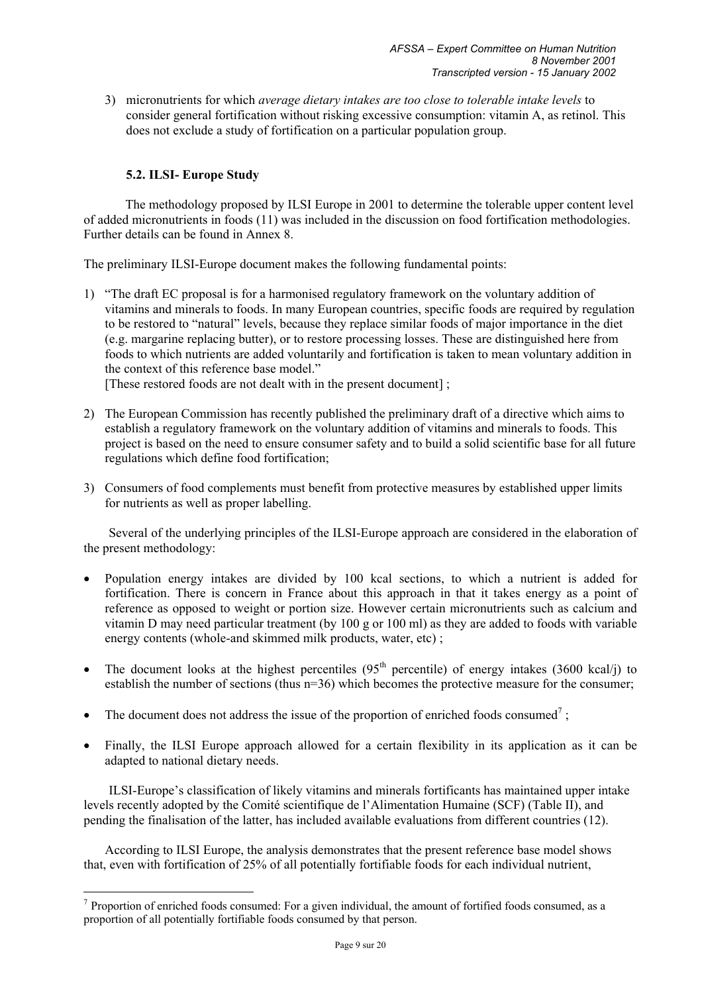3) micronutrients for which *average dietary intakes are too close to tolerable intake levels* to consider general fortification without risking excessive consumption: vitamin A, as retinol. This does not exclude a study of fortification on a particular population group.

# **5.2. ILSI- Europe Study**

 $\overline{a}$ 

The methodology proposed by ILSI Europe in 2001 to determine the tolerable upper content level of added micronutrients in foods (11) was included in the discussion on food fortification methodologies. Further details can be found in Annex 8.

The preliminary ILSI-Europe document makes the following fundamental points:

- 1) "The draft EC proposal is for a harmonised regulatory framework on the voluntary addition of vitamins and minerals to foods. In many European countries, specific foods are required by regulation to be restored to "natural" levels, because they replace similar foods of major importance in the diet (e.g. margarine replacing butter), or to restore processing losses. These are distinguished here from foods to which nutrients are added voluntarily and fortification is taken to mean voluntary addition in the context of this reference base model." [These restored foods are not dealt with in the present document] ;
- 2) The European Commission has recently published the preliminary draft of a directive which aims to establish a regulatory framework on the voluntary addition of vitamins and minerals to foods. This project is based on the need to ensure consumer safety and to build a solid scientific base for all future regulations which define food fortification;
- 3) Consumers of food complements must benefit from protective measures by established upper limits for nutrients as well as proper labelling.

Several of the underlying principles of the ILSI-Europe approach are considered in the elaboration of the present methodology:

- Population energy intakes are divided by 100 kcal sections, to which a nutrient is added for fortification. There is concern in France about this approach in that it takes energy as a point of reference as opposed to weight or portion size. However certain micronutrients such as calcium and vitamin D may need particular treatment (by 100 g or 100 ml) as they are added to foods with variable energy contents (whole-and skimmed milk products, water, etc);
- The document looks at the highest percentiles  $(95<sup>th</sup>$  percentile) of energy intakes  $(3600 \text{ kcal/j})$  to establish the number of sections (thus n=36) which becomes the protective measure for the consumer;
- The document does not address the issue of the proportion of enriched foods consumed<sup>7</sup>;
- Finally, the ILSI Europe approach allowed for a certain flexibility in its application as it can be adapted to national dietary needs.

ILSI-Europe's classification of likely vitamins and minerals fortificants has maintained upper intake levels recently adopted by the Comité scientifique de l'Alimentation Humaine (SCF) (Table II), and pending the finalisation of the latter, has included available evaluations from different countries (12).

According to ILSI Europe, the analysis demonstrates that the present reference base model shows that, even with fortification of 25% of all potentially fortifiable foods for each individual nutrient,

<sup>&</sup>lt;sup>7</sup> Proportion of enriched foods consumed: For a given individual, the amount of fortified foods consumed, as a proportion of all potentially fortifiable foods consumed by that person.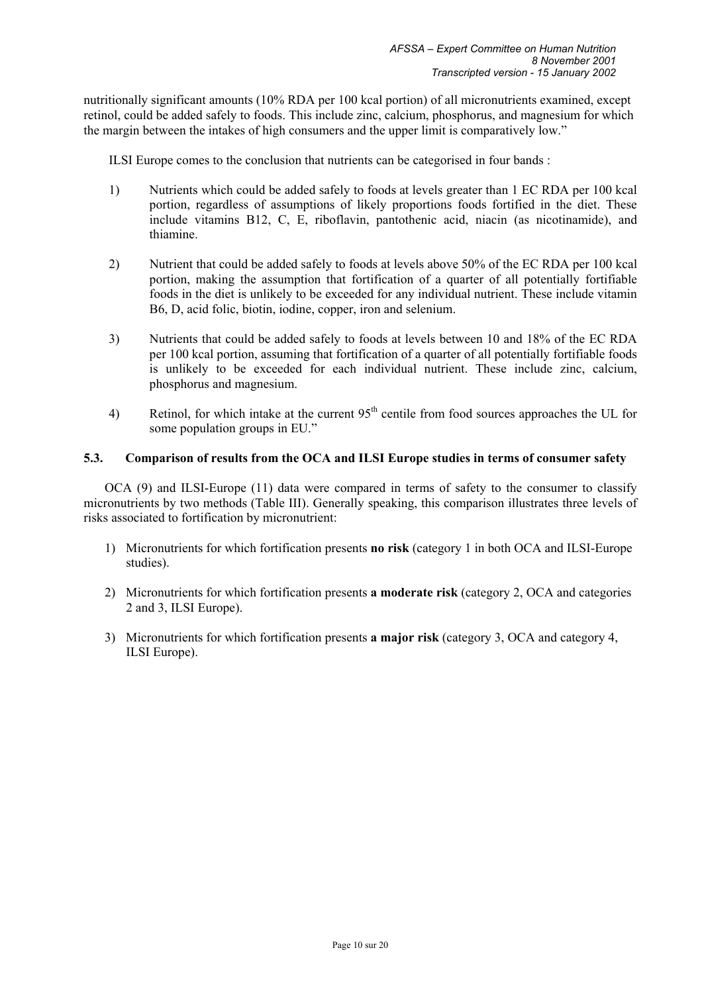nutritionally significant amounts (10% RDA per 100 kcal portion) of all micronutrients examined, except retinol, could be added safely to foods. This include zinc, calcium, phosphorus, and magnesium for which the margin between the intakes of high consumers and the upper limit is comparatively low."

ILSI Europe comes to the conclusion that nutrients can be categorised in four bands :

- 1) Nutrients which could be added safely to foods at levels greater than 1 EC RDA per 100 kcal portion, regardless of assumptions of likely proportions foods fortified in the diet. These include vitamins B12, C, E, riboflavin, pantothenic acid, niacin (as nicotinamide), and thiamine.
- 2) Nutrient that could be added safely to foods at levels above 50% of the EC RDA per 100 kcal portion, making the assumption that fortification of a quarter of all potentially fortifiable foods in the diet is unlikely to be exceeded for any individual nutrient. These include vitamin B6, D, acid folic, biotin, iodine, copper, iron and selenium.
- 3) Nutrients that could be added safely to foods at levels between 10 and 18% of the EC RDA per 100 kcal portion, assuming that fortification of a quarter of all potentially fortifiable foods is unlikely to be exceeded for each individual nutrient. These include zinc, calcium, phosphorus and magnesium.
- 4) Retinol, for which intake at the current  $95<sup>th</sup>$  centile from food sources approaches the UL for some population groups in EU."

### **5.3. Comparison of results from the OCA and ILSI Europe studies in terms of consumer safety**

OCA (9) and ILSI-Europe (11) data were compared in terms of safety to the consumer to classify micronutrients by two methods (Table III). Generally speaking, this comparison illustrates three levels of risks associated to fortification by micronutrient:

- 1) Micronutrients for which fortification presents **no risk** (category 1 in both OCA and ILSI-Europe studies).
- 2) Micronutrients for which fortification presents **a moderate risk** (category 2, OCA and categories 2 and 3, ILSI Europe).
- 3) Micronutrients for which fortification presents **a major risk** (category 3, OCA and category 4, ILSI Europe).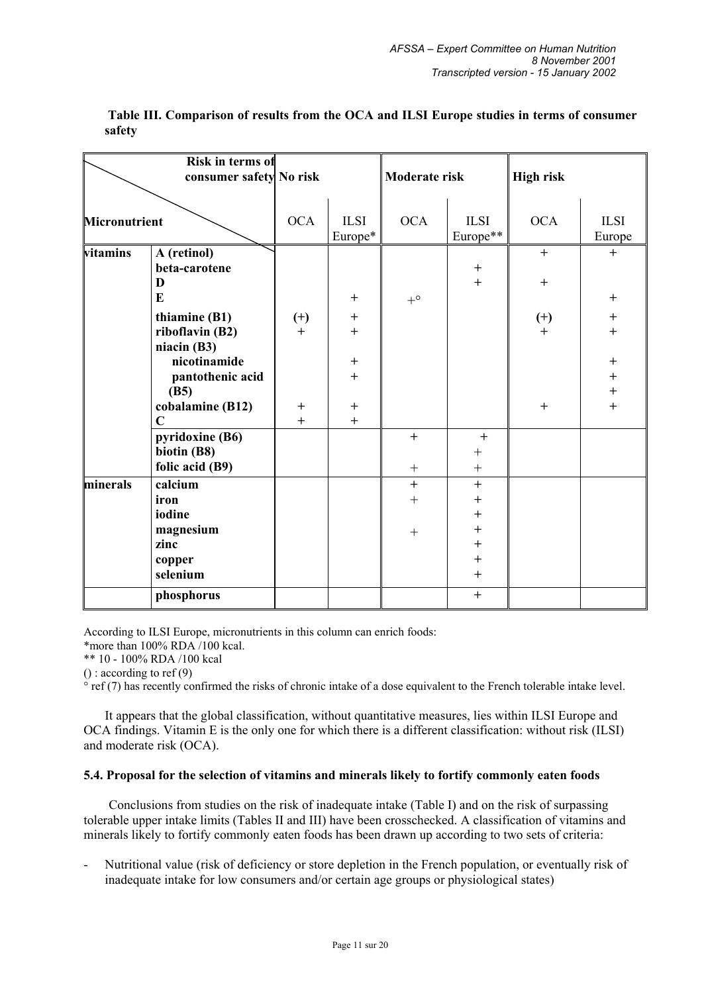|                      | Risk in terms of                                                                            |                        |                                                                         |                         |                                                                                                                     |                                          |                                                                   |
|----------------------|---------------------------------------------------------------------------------------------|------------------------|-------------------------------------------------------------------------|-------------------------|---------------------------------------------------------------------------------------------------------------------|------------------------------------------|-------------------------------------------------------------------|
|                      | consumer safety No risk                                                                     |                        |                                                                         | Moderate risk           |                                                                                                                     | <b>High risk</b>                         |                                                                   |
| <b>Micronutrient</b> |                                                                                             | <b>OCA</b>             | <b>ILSI</b>                                                             | <b>OCA</b>              | <b>ILSI</b>                                                                                                         | <b>OCA</b>                               | <b>ILSI</b>                                                       |
|                      |                                                                                             |                        | Europe*                                                                 |                         | Europe**                                                                                                            |                                          | Europe                                                            |
| vitamins             | A (retinol)<br>beta-carotene<br>D<br>$\bf{E}$                                               |                        | $+$                                                                     | $+^{\circ}$             | $\qquad \qquad +$<br>$\ddot{+}$                                                                                     | $+$<br>$^{+}$                            | $+$<br>$^{+}$                                                     |
|                      | thiamine (B1)<br>riboflavin (B2)<br>niacin (B3)<br>nicotinamide<br>pantothenic acid<br>(B5) | $(+)$<br>$+$<br>$^{+}$ | $\ddot{}$<br>$\ddot{}$<br>$\begin{array}{c} + \end{array}$<br>$\ddot{}$ |                         |                                                                                                                     | $(+)$<br>$\ddot{+}$<br>$\qquad \qquad +$ | $\ddot{}$<br>$\ddot{}$<br>$\ddot{}$<br>$\ddot{}$<br>$^{+}$<br>$+$ |
|                      | cobalamine (B12)<br>$\mathbf C$                                                             | $+$                    | $^{+}$<br>$+$                                                           |                         |                                                                                                                     |                                          |                                                                   |
|                      | pyridoxine (B6)<br>biotin (B8)<br>folic acid (B9)                                           |                        |                                                                         | $+$                     | $\ddot{}$<br>$\boldsymbol{+}$                                                                                       |                                          |                                                                   |
| minerals             | calcium<br>iron<br>iodine<br>magnesium<br>zinc<br>copper<br>selenium                        |                        |                                                                         | $\ddot{}$<br>$+$<br>$+$ | $\ddot{}$<br>$\ddot{}$<br>$\begin{array}{c} + \end{array}$<br>$\qquad \qquad +$<br>$\ddot{}$<br>$^{+}$<br>$\ddot{}$ |                                          |                                                                   |
|                      | phosphorus                                                                                  |                        |                                                                         |                         | $+$                                                                                                                 |                                          |                                                                   |

 **Table III. Comparison of results from the OCA and ILSI Europe studies in terms of consumer safety** 

According to ILSI Europe, micronutrients in this column can enrich foods:

\*more than 100% RDA /100 kcal.

\*\* 10 - 100% RDA /100 kcal

() : according to ref (9)

° ref (7) has recently confirmed the risks of chronic intake of a dose equivalent to the French tolerable intake level.

It appears that the global classification, without quantitative measures, lies within ILSI Europe and OCA findings. Vitamin E is the only one for which there is a different classification: without risk (ILSI) and moderate risk (OCA).

## **5.4. Proposal for the selection of vitamins and minerals likely to fortify commonly eaten foods**

Conclusions from studies on the risk of inadequate intake (Table I) and on the risk of surpassing tolerable upper intake limits (Tables II and III) have been crosschecked. A classification of vitamins and minerals likely to fortify commonly eaten foods has been drawn up according to two sets of criteria:

Nutritional value (risk of deficiency or store depletion in the French population, or eventually risk of inadequate intake for low consumers and/or certain age groups or physiological states)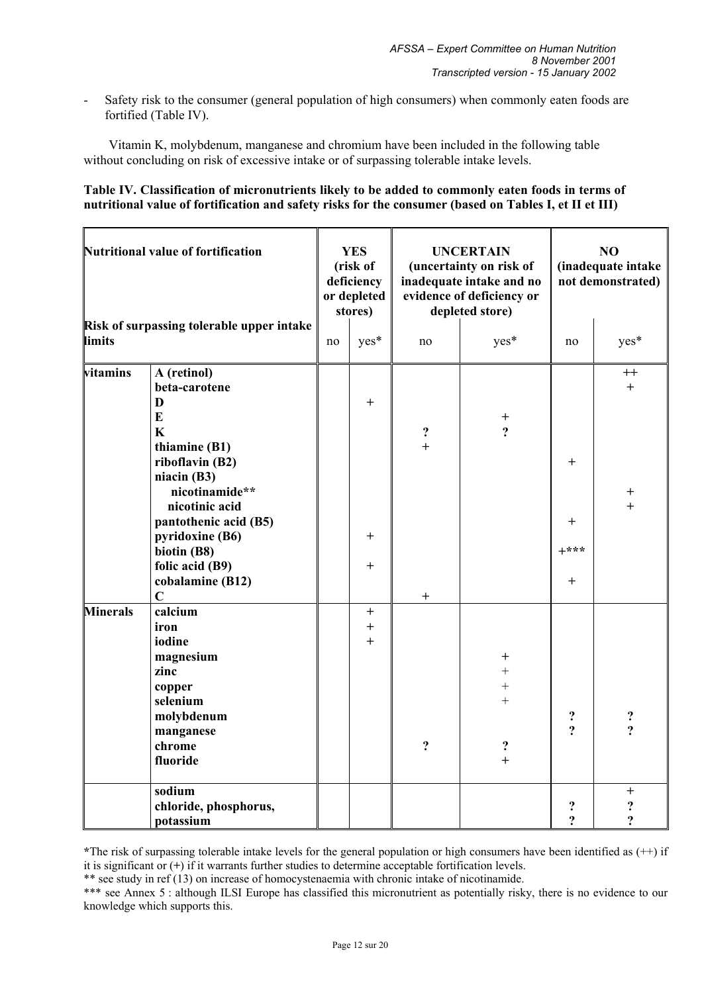- Safety risk to the consumer (general population of high consumers) when commonly eaten foods are fortified (Table IV).

Vitamin K, molybdenum, manganese and chromium have been included in the following table without concluding on risk of excessive intake or of surpassing tolerable intake levels.

### **Table IV. Classification of micronutrients likely to be added to commonly eaten foods in terms of nutritional value of fortification and safety risks for the consumer (based on Tables I, et II et III)**

| <b>Nutritional value of fortification</b>           |                                                                                                                                                                                                                                                                         | <b>YES</b><br>(risk of<br>deficiency<br>or depleted<br>stores) |                              |                       | <b>UNCERTAIN</b><br>(uncertainty on risk of<br>inadequate intake and no<br>evidence of deficiency or<br>depleted store) | N <sub>O</sub><br>(inadequate intake<br>not demonstrated) |                                                    |
|-----------------------------------------------------|-------------------------------------------------------------------------------------------------------------------------------------------------------------------------------------------------------------------------------------------------------------------------|----------------------------------------------------------------|------------------------------|-----------------------|-------------------------------------------------------------------------------------------------------------------------|-----------------------------------------------------------|----------------------------------------------------|
| Risk of surpassing tolerable upper intake<br>limits |                                                                                                                                                                                                                                                                         | no                                                             | yes*                         | no                    | yes*                                                                                                                    | no                                                        | yes*                                               |
| vitamins                                            | A (retinol)<br>beta-carotene<br>D<br>$\bf{E}$<br>$\mathbf K$<br>thiamine (B1)<br>riboflavin (B2)<br>niacin (B3)<br>nicotinamide**<br>nicotinic acid<br>pantothenic acid (B5)<br>pyridoxine (B6)<br>biotin (B8)<br>folic acid (B9)<br>cobalamine (B12)<br>$\overline{C}$ |                                                                | $\ddot{}$<br>$\pm$<br>$^{+}$ | $?$ +<br>$\mathrm{+}$ | $\begin{array}{c} + \\ 2 \end{array}$                                                                                   | $\pm$<br>$\ddot{}$<br>$+***$<br>$^{+}$                    | $^{++}$<br>$^{+}$<br>$^{+}$<br>$\ddot{+}$          |
| <b>Minerals</b>                                     | calcium<br>iron<br>iodine<br>magnesium<br>zinc<br>copper<br>selenium<br>molybdenum<br>manganese<br>chrome<br>fluoride                                                                                                                                                   |                                                                | $+$<br>$\ddot{}$<br>$+$      | $\ddot{ }$            | $\,^+$<br>$\ddot{}$<br>$\ddot{}$<br>$\ddot{}$<br>?<br>$\ddot{}$                                                         | $\ddot{\cdot}$<br>$\overline{?}$                          | $\frac{2}{2}$                                      |
|                                                     | sodium<br>chloride, phosphorus,<br>potassium                                                                                                                                                                                                                            |                                                                |                              |                       |                                                                                                                         | ?<br>$\overline{?}$                                       | $\ddot{}$<br>$\ddot{\mathbf{c}}$<br>$\ddot{\cdot}$ |

**\***The risk of surpassing tolerable intake levels for the general population or high consumers have been identified as (++) if it is significant or (**+**) if it warrants further studies to determine acceptable fortification levels.

\*\* see study in ref (13) on increase of homocystenaemia with chronic intake of nicotinamide.

\*\*\* see Annex 5 : although ILSI Europe has classified this micronutrient as potentially risky, there is no evidence to our knowledge which supports this.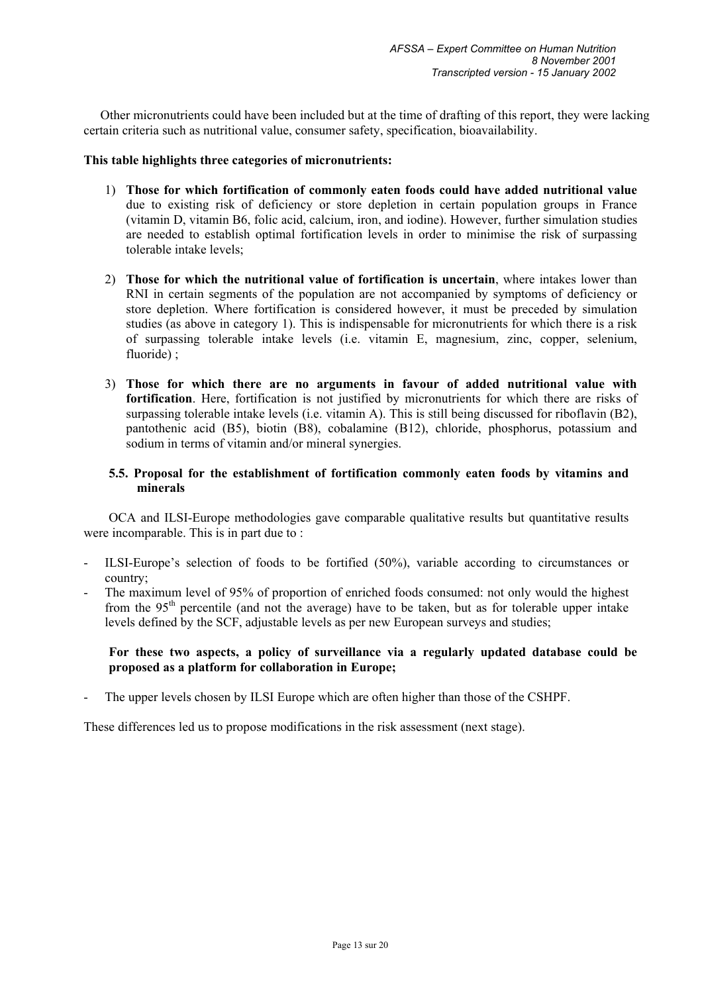Other micronutrients could have been included but at the time of drafting of this report, they were lacking certain criteria such as nutritional value, consumer safety, specification, bioavailability.

### **This table highlights three categories of micronutrients:**

- 1) **Those for which fortification of commonly eaten foods could have added nutritional value**  due to existing risk of deficiency or store depletion in certain population groups in France (vitamin D, vitamin B6, folic acid, calcium, iron, and iodine). However, further simulation studies are needed to establish optimal fortification levels in order to minimise the risk of surpassing tolerable intake levels;
- 2) **Those for which the nutritional value of fortification is uncertain**, where intakes lower than RNI in certain segments of the population are not accompanied by symptoms of deficiency or store depletion. Where fortification is considered however, it must be preceded by simulation studies (as above in category 1). This is indispensable for micronutrients for which there is a risk of surpassing tolerable intake levels (i.e. vitamin E, magnesium, zinc, copper, selenium, fluoride):
- 3) **Those for which there are no arguments in favour of added nutritional value with fortification**. Here, fortification is not justified by micronutrients for which there are risks of surpassing tolerable intake levels (i.e. vitamin A). This is still being discussed for riboflavin (B2), pantothenic acid (B5), biotin (B8), cobalamine (B12), chloride, phosphorus, potassium and sodium in terms of vitamin and/or mineral synergies.

## **5.5. Proposal for the establishment of fortification commonly eaten foods by vitamins and minerals**

OCA and ILSI-Europe methodologies gave comparable qualitative results but quantitative results were incomparable. This is in part due to :

- ILSI-Europe's selection of foods to be fortified (50%), variable according to circumstances or country;
- The maximum level of 95% of proportion of enriched foods consumed: not only would the highest from the  $95<sup>th</sup>$  percentile (and not the average) have to be taken, but as for tolerable upper intake levels defined by the SCF, adjustable levels as per new European surveys and studies;

## **For these two aspects, a policy of surveillance via a regularly updated database could be proposed as a platform for collaboration in Europe;**

The upper levels chosen by ILSI Europe which are often higher than those of the CSHPF.

These differences led us to propose modifications in the risk assessment (next stage).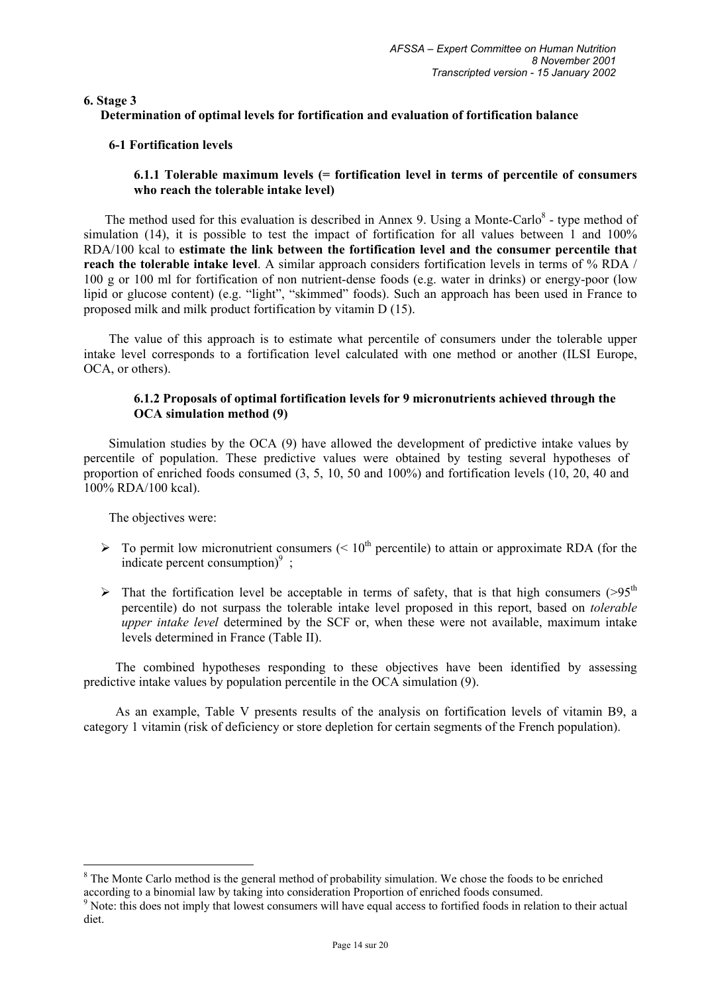**6. Stage 3** 

## **Determination of optimal levels for fortification and evaluation of fortification balance**

## **6-1 Fortification levels**

## **6.1.1 Tolerable maximum levels (= fortification level in terms of percentile of consumers who reach the tolerable intake level)**

The method used for this evaluation is described in Annex 9. Using a Monte-Carlo $\delta$  - type method of simulation (14), it is possible to test the impact of fortification for all values between 1 and 100% RDA/100 kcal to **estimate the link between the fortification level and the consumer percentile that reach the tolerable intake level**. A similar approach considers fortification levels in terms of % RDA / 100 g or 100 ml for fortification of non nutrient-dense foods (e.g. water in drinks) or energy-poor (low lipid or glucose content) (e.g. "light", "skimmed" foods). Such an approach has been used in France to proposed milk and milk product fortification by vitamin D (15).

The value of this approach is to estimate what percentile of consumers under the tolerable upper intake level corresponds to a fortification level calculated with one method or another (ILSI Europe, OCA, or others).

## **6.1.2 Proposals of optimal fortification levels for 9 micronutrients achieved through the OCA simulation method (9)**

Simulation studies by the OCA (9) have allowed the development of predictive intake values by percentile of population. These predictive values were obtained by testing several hypotheses of proportion of enriched foods consumed (3, 5, 10, 50 and 100%) and fortification levels (10, 20, 40 and 100% RDA/100 kcal).

The objectives were:

- $\triangleright$  To permit low micronutrient consumers (< 10<sup>th</sup> percentile) to attain or approximate RDA (for the indicate percent consumption) $9$ ;
- In That the fortification level be acceptable in terms of safety, that is that high consumers ( $>95<sup>th</sup>$ ) percentile) do not surpass the tolerable intake level proposed in this report, based on *tolerable upper intake level* determined by the SCF or, when these were not available, maximum intake levels determined in France (Table II).

The combined hypotheses responding to these objectives have been identified by assessing predictive intake values by population percentile in the OCA simulation (9).

As an example, Table V presents results of the analysis on fortification levels of vitamin B9, a category 1 vitamin (risk of deficiency or store depletion for certain segments of the French population).

<sup>&</sup>lt;sup>8</sup> The Monte Carlo method is the general method of probability simulation. We chose the foods to be enriched according to a binomial law by taking into consideration Proportion of enriched foods consumed.

<sup>&</sup>lt;sup>9</sup> Note: this does not imply that lowest consumers will have equal access to fortified foods in relation to their actual diet.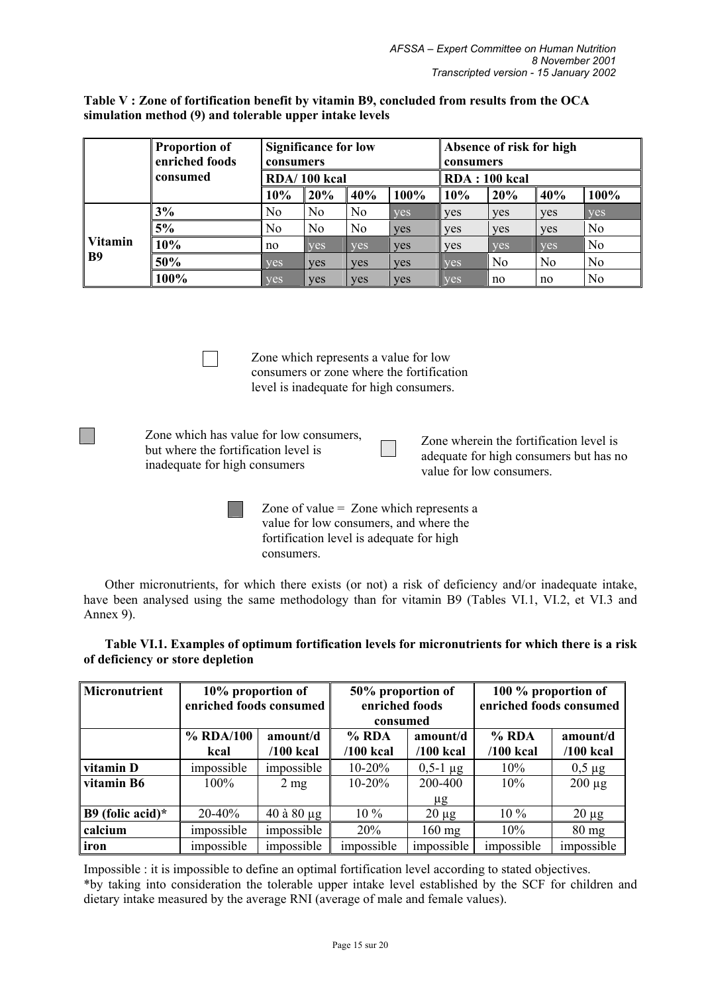**Table V : Zone of fortification benefit by vitamin B9, concluded from results from the OCA simulation method (9) and tolerable upper intake levels** 

|                             | <b>Proportion of</b><br>enriched foods | <b>Significance for low</b><br>consumers<br>RDA/100 kcal |                |                | Absence of risk for high<br>consumers |                      |                |                |                |
|-----------------------------|----------------------------------------|----------------------------------------------------------|----------------|----------------|---------------------------------------|----------------------|----------------|----------------|----------------|
|                             | consumed                               |                                                          |                |                |                                       | <b>RDA: 100 kcal</b> |                |                |                |
|                             |                                        | 10%                                                      | 20%            | 40%            | 100%                                  | 10%                  | 20%            | 40%            | 100%           |
|                             | 3%                                     | No                                                       | No             | No             | ves                                   | <b>ves</b>           | yes            | <b>ves</b>     | <b>ves</b>     |
|                             | 5%                                     | N <sub>0</sub>                                           | N <sub>0</sub> | N <sub>o</sub> | <b>ves</b>                            | yes                  | <b>ves</b>     | ves            | N <sub>0</sub> |
| <b>Vitamin</b><br><b>B9</b> | 10%                                    | no                                                       | <b>ves</b>     | <b>ves</b>     | <b>ves</b>                            | yes                  | yes            | <b>ves</b>     | N <sub>o</sub> |
|                             | 50%                                    | <b>ves</b>                                               | <b>ves</b>     | yes            | <b>ves</b>                            | <b>ves</b>           | N <sub>o</sub> | N <sub>0</sub> | N <sub>0</sub> |
|                             | 100%                                   | yes                                                      | <b>ves</b>     | <b>ves</b>     | ves                                   | <b>ves</b>           | no             | no             | No             |

Zone which represents a value for low consumers or zone where the fortification level is inadequate for high consumers.

Zone which has value for low consumers, but where the fortification level is inadequate for high consumers

**Tarat** 

Zone wherein the fortification level is adequate for high consumers but has no value for low consumers.

Zone of value = Zone which represents a value for low consumers, and where the fortification level is adequate for high consumers.

Other micronutrients, for which there exists (or not) a risk of deficiency and/or inadequate intake, have been analysed using the same methodology than for vitamin B9 (Tables VI.1, VI.2, et VI.3 and Annex 9).

| Micronutrient       | 10% proportion of<br>enriched foods consumed |                   | 50% proportion of<br>enriched foods<br>consumed |                 | 100 % proportion of<br>enriched foods consumed |                 |  |
|---------------------|----------------------------------------------|-------------------|-------------------------------------------------|-----------------|------------------------------------------------|-----------------|--|
|                     | % RDA/100                                    | amount/d          | $%$ RDA                                         | amount/d        | % RDA                                          | amount/d        |  |
|                     | kcal                                         | $/100$ kcal       | $/100$ kcal                                     | $/100$ kcal     | $/100$ kcal                                    | $/100$ kcal     |  |
| vitamin D           | impossible                                   | impossible        | $10-20%$                                        | $0.5 - 1 \mu g$ | $10\%$                                         | $0,5 \mu$ g     |  |
| vitamin B6          | $100\%$                                      | $2 \text{ mg}$    | $10 - 20%$                                      | 200-400         | $10\%$                                         | $200 \mu g$     |  |
|                     |                                              |                   |                                                 | μg              |                                                |                 |  |
| B9 (folic acid) $*$ | $20 - 40\%$                                  | $40$ à $80 \mu g$ | $10\%$                                          | $20 \mu g$      | $10\%$                                         | $20 \mu g$      |  |
| calcium             | impossible                                   | impossible        | 20%                                             | $160$ mg        | 10%                                            | $80 \text{ mg}$ |  |
| iron                | impossible                                   | impossible        | impossible                                      | impossible      | impossible                                     | impossible      |  |

**Table VI.1. Examples of optimum fortification levels for micronutrients for which there is a risk of deficiency or store depletion** 

Impossible : it is impossible to define an optimal fortification level according to stated objectives. \*by taking into consideration the tolerable upper intake level established by the SCF for children and dietary intake measured by the average RNI (average of male and female values).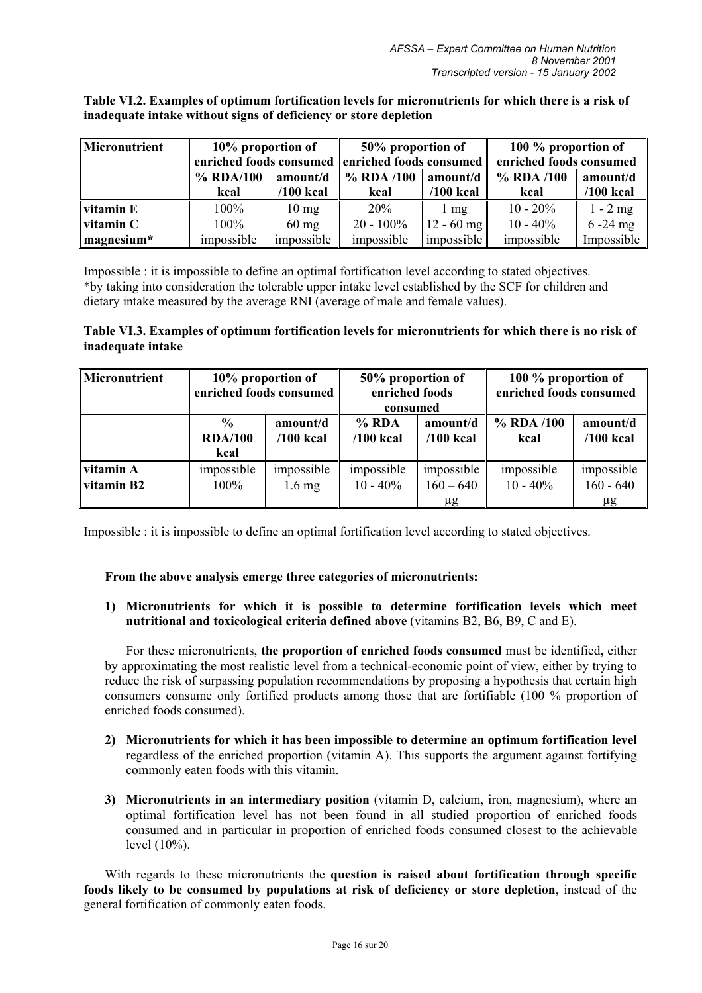**Table VI.2. Examples of optimum fortification levels for micronutrients for which there is a risk of inadequate intake without signs of deficiency or store depletion** 

| Micronutrient | 10% proportion of     |                 | 50% proportion of                               |              | 100 % proportion of     |             |  |
|---------------|-----------------------|-----------------|-------------------------------------------------|--------------|-------------------------|-------------|--|
|               |                       |                 | enriched foods consumed enriched foods consumed |              | enriched foods consumed |             |  |
|               | % RDA/100<br>amount/d |                 | % RDA /100                                      | amount/d     |                         | amount/d    |  |
|               | kcal                  | $/100$ kcal     | kcal                                            | $/100$ kcal  | kcal                    | $/100$ kcal |  |
| vitamin E     | 100%                  | $10 \text{ mg}$ | 20%                                             | l mg         | $10 - 20\%$             | $1 - 2$ mg  |  |
| vitamin C     | 100%                  | $60 \text{ mg}$ | $20 - 100\%$                                    | $12 - 60$ mg | $10 - 40\%$             | $6 - 24$ mg |  |
| magnesium*    | impossible            | impossible      | impossible                                      | impossible   | impossible              | Impossible  |  |

Impossible : it is impossible to define an optimal fortification level according to stated objectives. \*by taking into consideration the tolerable upper intake level established by the SCF for children and dietary intake measured by the average RNI (average of male and female values).

## **Table VI.3. Examples of optimum fortification levels for micronutrients for which there is no risk of inadequate intake**

| Micronutrient |                                         | 10% proportion of<br>enriched foods consumed | 50% proportion of<br>enriched foods<br>consumed   |             | 100 % proportion of<br>enriched foods consumed |                         |  |
|---------------|-----------------------------------------|----------------------------------------------|---------------------------------------------------|-------------|------------------------------------------------|-------------------------|--|
|               | $\frac{0}{0}$<br><b>RDA/100</b><br>kcal | amount/d<br>$/100$ kcal                      | $%$ RDA<br>amount/d<br>$/100$ kcal<br>$/100$ kcal |             | $%$ RDA $/100$<br>kcal                         | amount/d<br>$/100$ kcal |  |
| vitamin A     | impossible                              | impossible                                   | impossible                                        | impossible  | impossible                                     | impossible              |  |
| vitamin B2    | $100\%$                                 | $1.6 \text{ mg}$                             | $10 - 40\%$                                       | $160 - 640$ | $10 - 40\%$                                    | $160 - 640$             |  |
|               |                                         |                                              |                                                   | μg          |                                                | μg                      |  |

Impossible : it is impossible to define an optimal fortification level according to stated objectives.

#### **From the above analysis emerge three categories of micronutrients:**

**1) Micronutrients for which it is possible to determine fortification levels which meet nutritional and toxicological criteria defined above** (vitamins B2, B6, B9, C and E).

For these micronutrients, **the proportion of enriched foods consumed** must be identified**,** either by approximating the most realistic level from a technical-economic point of view, either by trying to reduce the risk of surpassing population recommendations by proposing a hypothesis that certain high consumers consume only fortified products among those that are fortifiable (100 % proportion of enriched foods consumed).

- **2) Micronutrients for which it has been impossible to determine an optimum fortification level**  regardless of the enriched proportion (vitamin A). This supports the argument against fortifying commonly eaten foods with this vitamin.
- **3) Micronutrients in an intermediary position** (vitamin D, calcium, iron, magnesium), where an optimal fortification level has not been found in all studied proportion of enriched foods consumed and in particular in proportion of enriched foods consumed closest to the achievable level (10%).

With regards to these micronutrients the **question is raised about fortification through specific foods likely to be consumed by populations at risk of deficiency or store depletion**, instead of the general fortification of commonly eaten foods.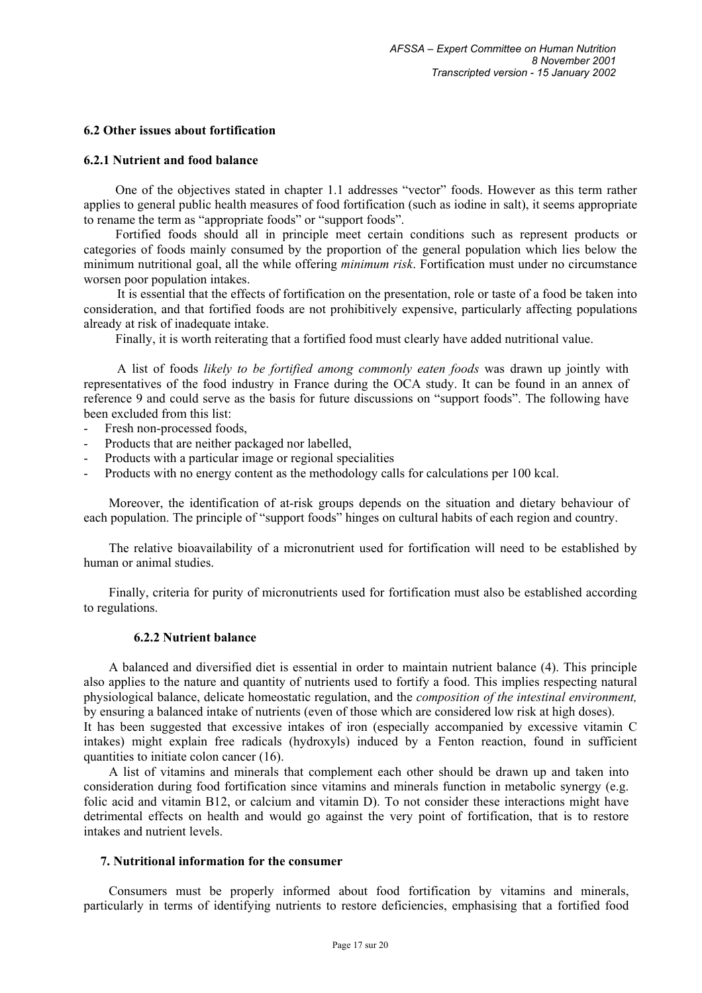## **6.2 Other issues about fortification**

#### **6.2.1 Nutrient and food balance**

One of the objectives stated in chapter 1.1 addresses "vector" foods. However as this term rather applies to general public health measures of food fortification (such as iodine in salt), it seems appropriate to rename the term as "appropriate foods" or "support foods".

Fortified foods should all in principle meet certain conditions such as represent products or categories of foods mainly consumed by the proportion of the general population which lies below the minimum nutritional goal, all the while offering *minimum risk*. Fortification must under no circumstance worsen poor population intakes.

It is essential that the effects of fortification on the presentation, role or taste of a food be taken into consideration, and that fortified foods are not prohibitively expensive, particularly affecting populations already at risk of inadequate intake.

Finally, it is worth reiterating that a fortified food must clearly have added nutritional value.

A list of foods *likely to be fortified among commonly eaten foods* was drawn up jointly with representatives of the food industry in France during the OCA study. It can be found in an annex of reference 9 and could serve as the basis for future discussions on "support foods". The following have been excluded from this list:

- Fresh non-processed foods,
- Products that are neither packaged nor labelled.
- Products with a particular image or regional specialities
- Products with no energy content as the methodology calls for calculations per 100 kcal.

Moreover, the identification of at-risk groups depends on the situation and dietary behaviour of each population. The principle of "support foods" hinges on cultural habits of each region and country.

The relative bioavailability of a micronutrient used for fortification will need to be established by human or animal studies.

Finally, criteria for purity of micronutrients used for fortification must also be established according to regulations.

#### **6.2.2 Nutrient balance**

A balanced and diversified diet is essential in order to maintain nutrient balance (4). This principle also applies to the nature and quantity of nutrients used to fortify a food. This implies respecting natural physiological balance, delicate homeostatic regulation, and the *composition of the intestinal environment,* by ensuring a balanced intake of nutrients (even of those which are considered low risk at high doses). It has been suggested that excessive intakes of iron (especially accompanied by excessive vitamin C intakes) might explain free radicals (hydroxyls) induced by a Fenton reaction, found in sufficient quantities to initiate colon cancer (16).

A list of vitamins and minerals that complement each other should be drawn up and taken into consideration during food fortification since vitamins and minerals function in metabolic synergy (e.g. folic acid and vitamin B12, or calcium and vitamin D). To not consider these interactions might have detrimental effects on health and would go against the very point of fortification, that is to restore intakes and nutrient levels.

### **7. Nutritional information for the consumer**

Consumers must be properly informed about food fortification by vitamins and minerals, particularly in terms of identifying nutrients to restore deficiencies, emphasising that a fortified food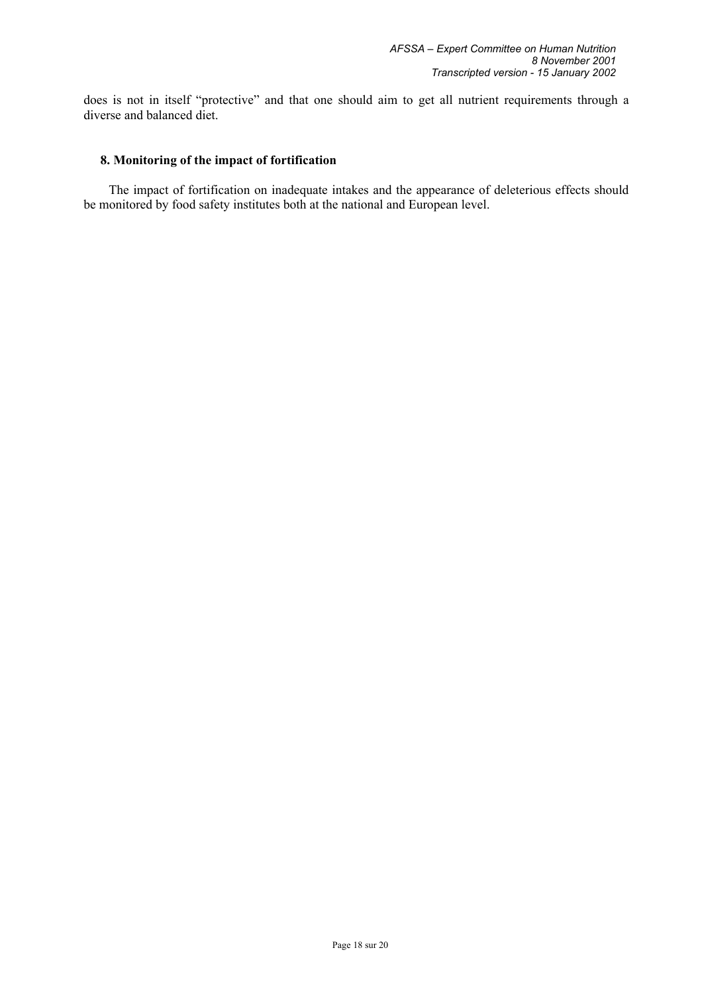does is not in itself "protective" and that one should aim to get all nutrient requirements through a diverse and balanced diet.

### **8. Monitoring of the impact of fortification**

The impact of fortification on inadequate intakes and the appearance of deleterious effects should be monitored by food safety institutes both at the national and European level.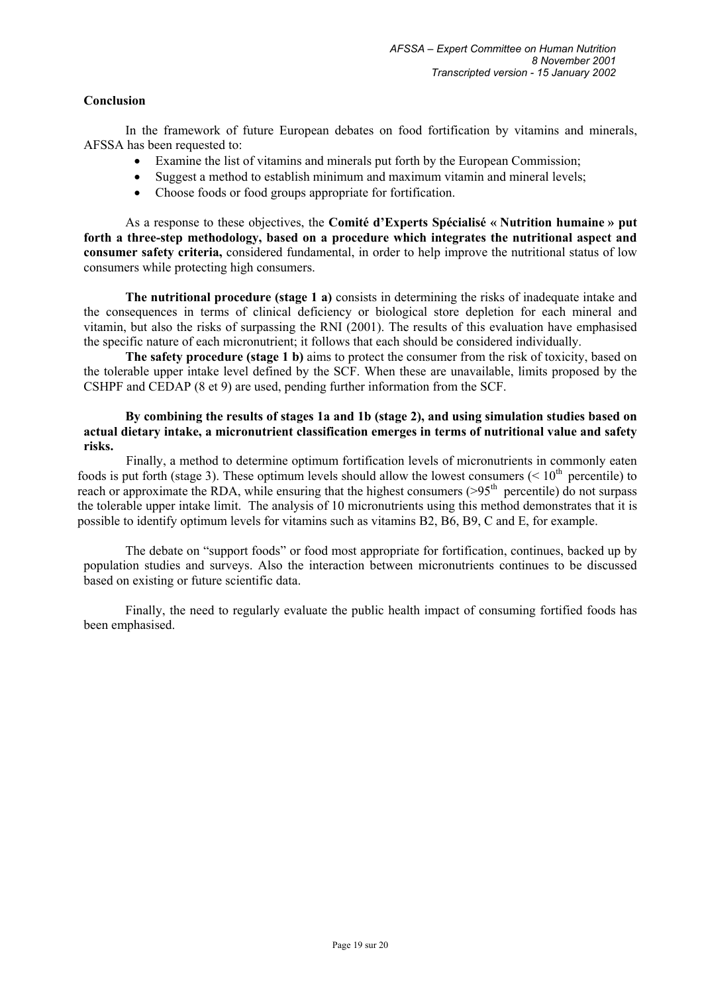## **Conclusion**

In the framework of future European debates on food fortification by vitamins and minerals, AFSSA has been requested to:

- Examine the list of vitamins and minerals put forth by the European Commission;
- Suggest a method to establish minimum and maximum vitamin and mineral levels;
- Choose foods or food groups appropriate for fortification.

As a response to these objectives, the **Comité d'Experts Spécialisé « Nutrition humaine » put forth a three-step methodology, based on a procedure which integrates the nutritional aspect and consumer safety criteria,** considered fundamental, in order to help improve the nutritional status of low consumers while protecting high consumers.

**The nutritional procedure (stage 1 a)** consists in determining the risks of inadequate intake and the consequences in terms of clinical deficiency or biological store depletion for each mineral and vitamin, but also the risks of surpassing the RNI (2001). The results of this evaluation have emphasised the specific nature of each micronutrient; it follows that each should be considered individually.

**The safety procedure (stage 1 b)** aims to protect the consumer from the risk of toxicity, based on the tolerable upper intake level defined by the SCF. When these are unavailable, limits proposed by the CSHPF and CEDAP (8 et 9) are used, pending further information from the SCF.

### **By combining the results of stages 1a and 1b (stage 2), and using simulation studies based on actual dietary intake, a micronutrient classification emerges in terms of nutritional value and safety risks.**

Finally, a method to determine optimum fortification levels of micronutrients in commonly eaten foods is put forth (stage 3). These optimum levels should allow the lowest consumers ( $\leq 10^{th}$  percentile) to reach or approximate the RDA, while ensuring that the highest consumers (>95<sup>th</sup> percentile) do not surpass the tolerable upper intake limit. The analysis of 10 micronutrients using this method demonstrates that it is possible to identify optimum levels for vitamins such as vitamins B2, B6, B9, C and E, for example.

The debate on "support foods" or food most appropriate for fortification, continues, backed up by population studies and surveys. Also the interaction between micronutrients continues to be discussed based on existing or future scientific data.

Finally, the need to regularly evaluate the public health impact of consuming fortified foods has been emphasised.